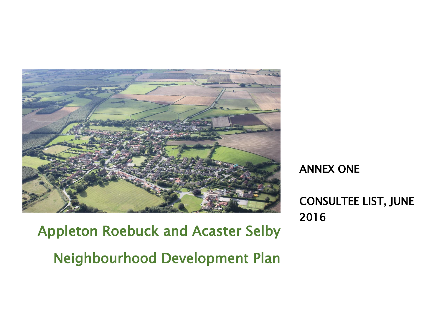

 Appleton Roebuck and Acaster Selby Neighbourhood Development Plan

ANNEX ONE

CONSULTEE LIST, JUNE 2016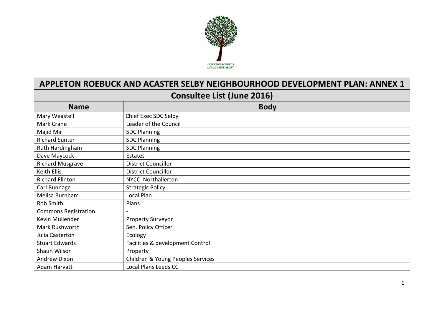

## **APPLETON ROEBUCK AND ACASTER SELBY NEIGHBOURHOOD DEVELOPMENT PLAN: ANNEX 1**

## **Consultee List (June 2016)**

| <b>Name</b>                 | <b>Body</b>                       |  |
|-----------------------------|-----------------------------------|--|
| Mary Weastell               | Chief Exec SDC Selby              |  |
| Mark Crane                  | Leader of the Council             |  |
| Majid Mir                   | <b>SDC Planning</b>               |  |
| <b>Richard Sunter</b>       | <b>SDC Planning</b>               |  |
| Ruth Hardingham             | <b>SDC Planning</b>               |  |
| Dave Maycock                | Estates                           |  |
| <b>Richard Musgrave</b>     | <b>District Councillor</b>        |  |
| Keith Ellis                 | <b>District Councillor</b>        |  |
| <b>Richard Flinton</b>      | <b>NYCC Northallerton</b>         |  |
| Carl Bunnage                | <b>Strategic Policy</b>           |  |
| Melisa Burnham              | Local Plan                        |  |
| Rob Smith                   | Plans                             |  |
| <b>Commons Registration</b> |                                   |  |
| Kevin Mullender             | <b>Property Surveyor</b>          |  |
| Mark Rushworth              | Sen. Policy Officer               |  |
| Julia Casterton             | Ecology                           |  |
| <b>Stuart Edwards</b>       | Facilities & development Control  |  |
| Shaun Wilson                | Property                          |  |
| <b>Andrew Dixon</b>         | Children & Young Peoples Services |  |
| Adam Harvatt                | Local Plans Leeds CC              |  |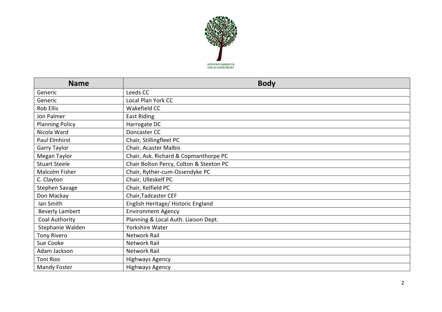

| <b>Name</b>            | <b>Body</b>                             |
|------------------------|-----------------------------------------|
| Generic                | Leeds CC                                |
| Generic                | Local Plan York CC                      |
| <b>Rob Ellis</b>       | Wakefield CC                            |
| Jon Palmer             | East Riding                             |
| <b>Planning Policy</b> | Harrogate DC                            |
| Nicola Ward            | Doncaster CC                            |
| Paul Elmhirst          | Chair, Stillingfleet PC                 |
| Garry Taylor           | Chair, Acaster Malbis                   |
| Megan Taylor           | Chair, Ask. Richard & Copmanthorpe PC   |
| <b>Stuart Steele</b>   | Chair Bolton Percy, Colton & Steeton PC |
| Malcolm Fisher         | Chair, Ryther-cum-Ossendyke PC          |
| C. Clayton             | Chair, Ulleskelf PC                     |
| Stephen Savage         | Chair, Kelfield PC                      |
| Don Mackay             | Chair, Tadcaster CEF                    |
| Ian Smith              | English Heritage/ Historic England      |
| <b>Beverly Lambert</b> | <b>Environment Agency</b>               |
| Coal Authority         | Planning & Local Auth. Liaison Dept.    |
| Stephanie Walden       | Yorkshire Water                         |
| Tony Rivero            | <b>Network Rail</b>                     |
| Sue Cooke              | Network Rail                            |
| Adam Jackson           | Network Rail                            |
| <b>Toni Rios</b>       | <b>Highways Agency</b>                  |
| Mandy Foster           | <b>Highways Agency</b>                  |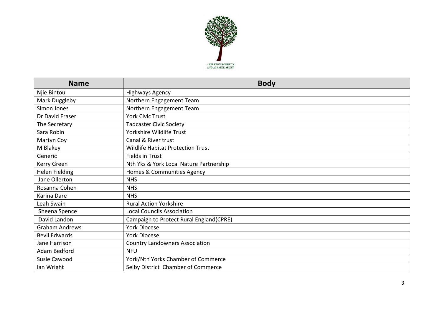

| <b>Name</b>           | <b>Body</b>                             |
|-----------------------|-----------------------------------------|
| Njie Bintou           | Highways Agency                         |
| Mark Duggleby         | Northern Engagement Team                |
| Simon Jones           | Northern Engagement Team                |
| Dr David Fraser       | <b>York Civic Trust</b>                 |
| The Secretary         | <b>Tadcaster Civic Society</b>          |
| Sara Robin            | Yorkshire Wildlife Trust                |
| Martyn Coy            | Canal & River trust                     |
| M Blakey              | Wildlife Habitat Protection Trust       |
| Generic               | <b>Fields in Trust</b>                  |
| Kerry Green           | Nth Yks & York Local Nature Partnership |
| <b>Helen Fielding</b> | Homes & Communities Agency              |
| Jane Ollerton         | <b>NHS</b>                              |
| Rosanna Cohen         | <b>NHS</b>                              |
| Karina Dare           | <b>NHS</b>                              |
| Leah Swain            | <b>Rural Action Yorkshire</b>           |
| Sheena Spence         | <b>Local Councils Association</b>       |
| David Landon          | Campaign to Protect Rural England(CPRE) |
| <b>Graham Andrews</b> | <b>York Diocese</b>                     |
| <b>Bevil Edwards</b>  | <b>York Diocese</b>                     |
| Jane Harrison         | <b>Country Landowners Association</b>   |
| Adam Bedford          | <b>NFU</b>                              |
| <b>Susie Cawood</b>   | York/Nth Yorks Chamber of Commerce      |
| lan Wright            | Selby District Chamber of Commerce      |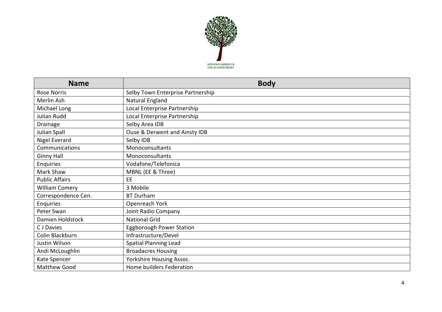

| <b>Name</b>           | <b>Body</b>                       |
|-----------------------|-----------------------------------|
| <b>Rose Norris</b>    | Selby Town Enterprise Partnership |
| Merlin Ash            | Natural England                   |
| Michael Long          | Local Enterprise Partnership      |
| Julian Rudd           | Local Enterprise Partnership      |
| Drainage              | Selby Area IDB                    |
| Julian Spall          | Ouse & Derwent and Ainsty IDB     |
| Nigel Everard         | Selby IDB                         |
| Communications        | Monoconsultants                   |
| <b>Ginny Hall</b>     | Monoconsultants                   |
| Enquiries             | Vodafone/Telefonica               |
| Mark Shaw             | MBNL (EE & Three)                 |
| <b>Public Affairs</b> | EE                                |
| <b>William Comery</b> | 3 Mobile                          |
| Correspondence Cen.   | <b>BT Durham</b>                  |
| Enquiries             | Openreach York                    |
| Peter Swan            | Joint Radio Company               |
| Damien Holdstock      | <b>National Grid</b>              |
| C J Davies            | Eggborough Power Station          |
| Colin Blackburn       | Infrastructure/Devel              |
| Justin Wilson         | <b>Spatial Planning Lead</b>      |
| Andi McLoughlin       | <b>Broadacres Housing</b>         |
| Kate Spencer          | Yorkshire Housing Assoc.          |
| <b>Matthew Good</b>   | Home builders Federation          |